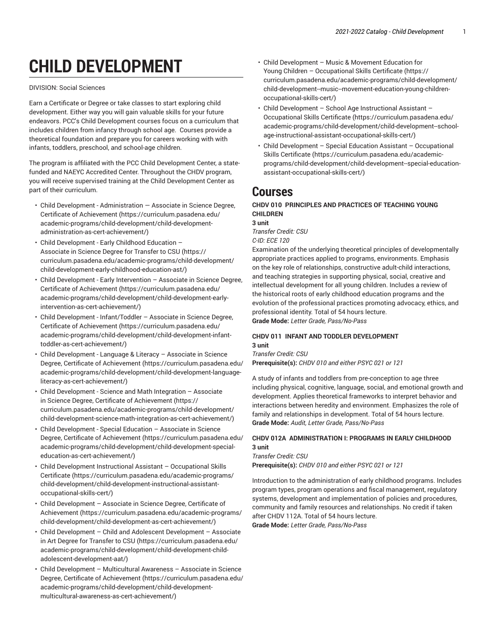# **CHILD DEVELOPMENT**

#### DIVISION: Social Sciences

Earn a Certificate or Degree or take classes to start exploring child development. Either way you will gain valuable skills for your future endeavors. PCC's Child Development courses focus on a curriculum that includes children from infancy through school age. Courses provide a theoretical foundation and prepare you for careers working with with infants, toddlers, preschool, and school-age children.

The program is affiliated with the PCC Child Development Center, a statefunded and NAEYC Accredited Center. Throughout the CHDV program, you will receive supervised training at the Child Development Center as part of their curriculum.

- Child Development [Administration](https://curriculum.pasadena.edu/academic-programs/child-development/child-development-administration-as-cert-achievement/) Associate in Science Degree, Certificate of [Achievement](https://curriculum.pasadena.edu/academic-programs/child-development/child-development-administration-as-cert-achievement/) ([https://curriculum.pasadena.edu/](https://curriculum.pasadena.edu/academic-programs/child-development/child-development-administration-as-cert-achievement/) [academic-programs/child-development/child-development](https://curriculum.pasadena.edu/academic-programs/child-development/child-development-administration-as-cert-achievement/)[administration-as-cert-achievement/\)](https://curriculum.pasadena.edu/academic-programs/child-development/child-development-administration-as-cert-achievement/)
- Child [Development](https://curriculum.pasadena.edu/academic-programs/child-development/child-development-early-childhood-education-ast/) Early Childhood Education [Associate](https://curriculum.pasadena.edu/academic-programs/child-development/child-development-early-childhood-education-ast/) in Science Degree for Transfer to CSU [\(https://](https://curriculum.pasadena.edu/academic-programs/child-development/child-development-early-childhood-education-ast/) [curriculum.pasadena.edu/academic-programs/child-development/](https://curriculum.pasadena.edu/academic-programs/child-development/child-development-early-childhood-education-ast/) [child-development-early-childhood-education-ast/](https://curriculum.pasadena.edu/academic-programs/child-development/child-development-early-childhood-education-ast/))
- Child [Development](https://curriculum.pasadena.edu/academic-programs/child-development/child-development-early-intervention-as-cert-achievement/) Early Intervention Associate in Science Degree, Certificate of [Achievement](https://curriculum.pasadena.edu/academic-programs/child-development/child-development-early-intervention-as-cert-achievement/) ([https://curriculum.pasadena.edu/](https://curriculum.pasadena.edu/academic-programs/child-development/child-development-early-intervention-as-cert-achievement/) [academic-programs/child-development/child-development-early](https://curriculum.pasadena.edu/academic-programs/child-development/child-development-early-intervention-as-cert-achievement/)[intervention-as-cert-achievement/](https://curriculum.pasadena.edu/academic-programs/child-development/child-development-early-intervention-as-cert-achievement/))
- Child Development [Infant/Toddler](https://curriculum.pasadena.edu/academic-programs/child-development/child-development-infant-toddler-as-cert-achievement/) Associate in Science Degree, Certificate of [Achievement](https://curriculum.pasadena.edu/academic-programs/child-development/child-development-infant-toddler-as-cert-achievement/) ([https://curriculum.pasadena.edu/](https://curriculum.pasadena.edu/academic-programs/child-development/child-development-infant-toddler-as-cert-achievement/) [academic-programs/child-development/child-development-infant](https://curriculum.pasadena.edu/academic-programs/child-development/child-development-infant-toddler-as-cert-achievement/)[toddler-as-cert-achievement/\)](https://curriculum.pasadena.edu/academic-programs/child-development/child-development-infant-toddler-as-cert-achievement/)
- Child [Development](https://curriculum.pasadena.edu/academic-programs/child-development/child-development-language-literacy-as-cert-achievement/) Language & Literacy Associate in Science Degree, Certificate of [Achievement \(https://curriculum.pasadena.edu/](https://curriculum.pasadena.edu/academic-programs/child-development/child-development-language-literacy-as-cert-achievement/) [academic-programs/child-development/child-development-language](https://curriculum.pasadena.edu/academic-programs/child-development/child-development-language-literacy-as-cert-achievement/)[literacy-as-cert-achievement/\)](https://curriculum.pasadena.edu/academic-programs/child-development/child-development-language-literacy-as-cert-achievement/)
- Child [Development](https://curriculum.pasadena.edu/academic-programs/child-development/child-development-science-math-integration-as-cert-achievement/) Science and Math Integration Associate in Science Degree, Certificate of [Achievement \(https://](https://curriculum.pasadena.edu/academic-programs/child-development/child-development-science-math-integration-as-cert-achievement/) [curriculum.pasadena.edu/academic-programs/child-development/](https://curriculum.pasadena.edu/academic-programs/child-development/child-development-science-math-integration-as-cert-achievement/) [child-development-science-math-integration-as-cert-achievement/\)](https://curriculum.pasadena.edu/academic-programs/child-development/child-development-science-math-integration-as-cert-achievement/)
- Child [Development](https://curriculum.pasadena.edu/academic-programs/child-development/child-development-special-education-as-cert-achievement/) Special Education Associate in Science Degree, Certificate of [Achievement \(https://curriculum.pasadena.edu/](https://curriculum.pasadena.edu/academic-programs/child-development/child-development-special-education-as-cert-achievement/) [academic-programs/child-development/child-development-special](https://curriculum.pasadena.edu/academic-programs/child-development/child-development-special-education-as-cert-achievement/)[education-as-cert-achievement/](https://curriculum.pasadena.edu/academic-programs/child-development/child-development-special-education-as-cert-achievement/))
- Child Development Instructional Assistant [Occupational](https://curriculum.pasadena.edu/academic-programs/child-development/child-development-instructional-assistant-occupational-skills-cert/) Skills [Certificate](https://curriculum.pasadena.edu/academic-programs/child-development/child-development-instructional-assistant-occupational-skills-cert/) ([https://curriculum.pasadena.edu/academic-programs/](https://curriculum.pasadena.edu/academic-programs/child-development/child-development-instructional-assistant-occupational-skills-cert/) [child-development/child-development-instructional-assistant](https://curriculum.pasadena.edu/academic-programs/child-development/child-development-instructional-assistant-occupational-skills-cert/)[occupational-skills-cert/\)](https://curriculum.pasadena.edu/academic-programs/child-development/child-development-instructional-assistant-occupational-skills-cert/)
- Child [Development](https://curriculum.pasadena.edu/academic-programs/child-development/child-development-as-cert-achievement/) Associate in Science Degree, Certificate of [Achievement \(https://curriculum.pasadena.edu/academic-programs/](https://curriculum.pasadena.edu/academic-programs/child-development/child-development-as-cert-achievement/) [child-development/child-development-as-cert-achievement/\)](https://curriculum.pasadena.edu/academic-programs/child-development/child-development-as-cert-achievement/)
- Child Development Child and Adolescent [Development](https://curriculum.pasadena.edu/academic-programs/child-development/child-development-child-adolescent-development-aat/) Associate in Art Degree for [Transfer](https://curriculum.pasadena.edu/academic-programs/child-development/child-development-child-adolescent-development-aat/) to CSU ([https://curriculum.pasadena.edu/](https://curriculum.pasadena.edu/academic-programs/child-development/child-development-child-adolescent-development-aat/) [academic-programs/child-development/child-development-child](https://curriculum.pasadena.edu/academic-programs/child-development/child-development-child-adolescent-development-aat/)[adolescent-development-aat/](https://curriculum.pasadena.edu/academic-programs/child-development/child-development-child-adolescent-development-aat/))
- Child [Development](https://curriculum.pasadena.edu/academic-programs/child-development/child-development-multicultural-awareness-as-cert-achievement/) Multicultural Awareness Associate in Science Degree, Certificate of [Achievement \(https://curriculum.pasadena.edu/](https://curriculum.pasadena.edu/academic-programs/child-development/child-development-multicultural-awareness-as-cert-achievement/) [academic-programs/child-development/child-development](https://curriculum.pasadena.edu/academic-programs/child-development/child-development-multicultural-awareness-as-cert-achievement/)[multicultural-awareness-as-cert-achievement/](https://curriculum.pasadena.edu/academic-programs/child-development/child-development-multicultural-awareness-as-cert-achievement/))
- Child [Development](https://curriculum.pasadena.edu/academic-programs/child-development/child-development--music--movement-education-young-children-occupational-skills-cert/) Music & Movement Education for Young Children – [Occupational](https://curriculum.pasadena.edu/academic-programs/child-development/child-development--music--movement-education-young-children-occupational-skills-cert/) Skills Certificate ([https://](https://curriculum.pasadena.edu/academic-programs/child-development/child-development--music--movement-education-young-children-occupational-skills-cert/) [curriculum.pasadena.edu/academic-programs/child-development/](https://curriculum.pasadena.edu/academic-programs/child-development/child-development--music--movement-education-young-children-occupational-skills-cert/) [child-development--music--movement-education-young-children](https://curriculum.pasadena.edu/academic-programs/child-development/child-development--music--movement-education-young-children-occupational-skills-cert/)[occupational-skills-cert/](https://curriculum.pasadena.edu/academic-programs/child-development/child-development--music--movement-education-young-children-occupational-skills-cert/))
- Child [Development](https://curriculum.pasadena.edu/academic-programs/child-development/child-development--school-age-instructional-assistant-occupational-skills-cert/) School Age Instructional Assistant [Occupational](https://curriculum.pasadena.edu/academic-programs/child-development/child-development--school-age-instructional-assistant-occupational-skills-cert/) Skills Certificate ([https://curriculum.pasadena.edu/](https://curriculum.pasadena.edu/academic-programs/child-development/child-development--school-age-instructional-assistant-occupational-skills-cert/) [academic-programs/child-development/child-development--school](https://curriculum.pasadena.edu/academic-programs/child-development/child-development--school-age-instructional-assistant-occupational-skills-cert/)[age-instructional-assistant-occupational-skills-cert/\)](https://curriculum.pasadena.edu/academic-programs/child-development/child-development--school-age-instructional-assistant-occupational-skills-cert/)
- Child Development Special Education Assistant [Occupational](https://curriculum.pasadena.edu/academic-programs/child-development/child-development--special-education-assistant-occupational-skills-cert/) Skills [Certificate \(https://curriculum.pasadena.edu/academic](https://curriculum.pasadena.edu/academic-programs/child-development/child-development--special-education-assistant-occupational-skills-cert/)[programs/child-development/child-development--special-education](https://curriculum.pasadena.edu/academic-programs/child-development/child-development--special-education-assistant-occupational-skills-cert/)[assistant-occupational-skills-cert/\)](https://curriculum.pasadena.edu/academic-programs/child-development/child-development--special-education-assistant-occupational-skills-cert/)

# **Courses**

#### **CHDV 010 PRINCIPLES AND PRACTICES OF TEACHING YOUNG CHILDREN 3 unit**

*Transfer Credit: CSU*

*C-ID: ECE 120*

Examination of the underlying theoretical principles of developmentally appropriate practices applied to programs, environments. Emphasis on the key role of relationships, constructive adult-child interactions, and teaching strategies in supporting physical, social, creative and intellectual development for all young children. Includes a review of the historical roots of early childhood education programs and the evolution of the professional practices promoting advocacy, ethics, and professional identity. Total of 54 hours lecture.

**Grade Mode:** *Letter Grade, Pass/No-Pass*

#### **CHDV 011 INFANT AND TODDLER DEVELOPMENT 3 unit**

*Transfer Credit: CSU* **Prerequisite(s):** *CHDV 010 and either PSYC 021 or 121*

A study of infants and toddlers from pre-conception to age three including physical, cognitive, language, social, and emotional growth and development. Applies theoretical frameworks to interpret behavior and interactions between heredity and environment. Emphasizes the role of family and relationships in development. Total of 54 hours lecture. **Grade Mode:** *Audit, Letter Grade, Pass/No-Pass*

## **CHDV 012A ADMINISTRATION I: PROGRAMS IN EARLY CHILDHOOD 3 unit**

*Transfer Credit: CSU* **Prerequisite(s):** *CHDV 010 and either PSYC 021 or 121*

Introduction to the administration of early childhood programs. Includes program types, program operations and fiscal management, regulatory systems, development and implementation of policies and procedures, community and family resources and relationships. No credit if taken after CHDV 112A. Total of 54 hours lecture.

**Grade Mode:** *Letter Grade, Pass/No-Pass*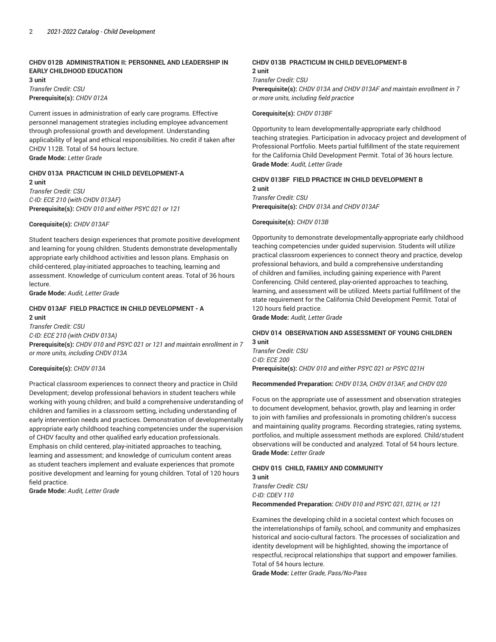## **CHDV 012B ADMINISTRATION II: PERSONNEL AND LEADERSHIP IN EARLY CHILDHOOD EDUCATION**

**3 unit** *Transfer Credit: CSU* **Prerequisite(s):** *CHDV 012A*

Current issues in administration of early care programs. Effective personnel management strategies including employee advancement through professional growth and development. Understanding applicability of legal and ethical responsibilities. No credit if taken after CHDV 112B. Total of 54 hours lecture. **Grade Mode:** *Letter Grade*

## **CHDV 013A PRACTICUM IN CHILD DEVELOPMENT-A**

**2 unit** *Transfer Credit: CSU C-ID: ECE 210 (with CHDV 013AF)* **Prerequisite(s):** *CHDV 010 and either PSYC 021 or 121*

**Corequisite(s):** *CHDV 013AF*

Student teachers design experiences that promote positive development and learning for young children. Students demonstrate developmentally appropriate early childhood activities and lesson plans. Emphasis on child-centered, play-initiated approaches to teaching, learning and assessment. Knowledge of curriculum content areas. Total of 36 hours lecture.

**Grade Mode:** *Audit, Letter Grade*

#### **CHDV 013AF FIELD PRACTICE IN CHILD DEVELOPMENT - A 2 unit**

*Transfer Credit: CSU C-ID: ECE 210 (with CHDV 013A)* **Prerequisite(s):** *CHDV 010 and PSYC 021 or 121 and maintain enrollment in 7 or more units, including CHDV 013A*

#### **Corequisite(s):** *CHDV 013A*

Practical classroom experiences to connect theory and practice in Child Development; develop professional behaviors in student teachers while working with young children; and build a comprehensive understanding of children and families in a classroom setting, including understanding of early intervention needs and practices. Demonstration of developmentally appropriate early childhood teaching competencies under the supervision of CHDV faculty and other qualified early education professionals. Emphasis on child centered, play-initiated approaches to teaching, learning and assessment; and knowledge of curriculum content areas as student teachers implement and evaluate experiences that promote positive development and learning for young children. Total of 120 hours field practice.

**Grade Mode:** *Audit, Letter Grade*

#### **CHDV 013B PRACTICUM IN CHILD DEVELOPMENT-B 2 unit**

*Transfer Credit: CSU* **Prerequisite(s):** *CHDV 013A and CHDV 013AF and maintain enrollment in 7 or more units, including field practice*

**Corequisite(s):** *CHDV 013BF*

Opportunity to learn developmentally-appropriate early childhood teaching strategies. Participation in advocacy project and development of Professional Portfolio. Meets partial fulfillment of the state requirement for the California Child Development Permit. Total of 36 hours lecture. **Grade Mode:** *Audit, Letter Grade*

#### **CHDV 013BF FIELD PRACTICE IN CHILD DEVELOPMENT B 2 unit**

*Transfer Credit: CSU* **Prerequisite(s):** *CHDV 013A and CHDV 013AF*

**Corequisite(s):** *CHDV 013B*

Opportunity to demonstrate developmentally-appropriate early childhood teaching competencies under guided supervision. Students will utilize practical classroom experiences to connect theory and practice, develop professional behaviors, and build a comprehensive understanding of children and families, including gaining experience with Parent Conferencing. Child centered, play-oriented approaches to teaching, learning, and assessment will be utilized. Meets partial fulfillment of the state requirement for the California Child Development Permit. Total of 120 hours field practice.

**Grade Mode:** *Audit, Letter Grade*

## **CHDV 014 OBSERVATION AND ASSESSMENT OF YOUNG CHILDREN 3 unit**

*Transfer Credit: CSU C-ID: ECE 200* **Prerequisite(s):** *CHDV 010 and either PSYC 021 or PSYC 021H*

**Recommended Preparation:** *CHDV 013A, CHDV 013AF, and CHDV 020*

Focus on the appropriate use of assessment and observation strategies to document development, behavior, growth, play and learning in order to join with families and professionals in promoting children's success and maintaining quality programs. Recording strategies, rating systems, portfolios, and multiple assessment methods are explored. Child/student observations will be conducted and analyzed. Total of 54 hours lecture. **Grade Mode:** *Letter Grade*

#### **CHDV 015 CHILD, FAMILY AND COMMUNITY 3 unit**

*Transfer Credit: CSU C-ID: CDEV 110* **Recommended Preparation:** *CHDV 010 and PSYC 021, 021H, or 121*

Examines the developing child in a societal context which focuses on the interrelationships of family, school, and community and emphasizes historical and socio-cultural factors. The processes of socialization and identity development will be highlighted, showing the importance of respectful, reciprocal relationships that support and empower families. Total of 54 hours lecture.

**Grade Mode:** *Letter Grade, Pass/No-Pass*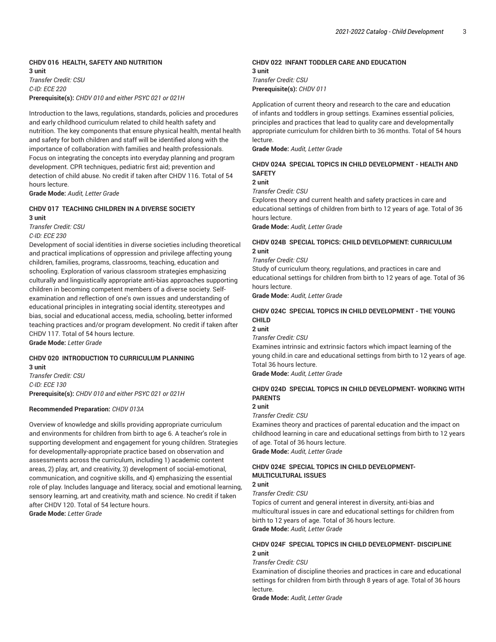## **CHDV 016 HEALTH, SAFETY AND NUTRITION 3 unit**

*Transfer Credit: CSU C-ID: ECE 220* **Prerequisite(s):** *CHDV 010 and either PSYC 021 or 021H*

Introduction to the laws, regulations, standards, policies and procedures and early childhood curriculum related to child health safety and nutrition. The key components that ensure physical health, mental health and safety for both children and staff will be identified along with the importance of collaboration with families and health professionals. Focus on integrating the concepts into everyday planning and program development. CPR techniques, pediatric first aid; prevention and detection of child abuse. No credit if taken after CHDV 116. Total of 54 hours lecture.

**Grade Mode:** *Audit, Letter Grade*

#### **CHDV 017 TEACHING CHILDREN IN A DIVERSE SOCIETY 3 unit**

*Transfer Credit: CSU C-ID: ECE 230*

Development of social identities in diverse societies including theoretical and practical implications of oppression and privilege affecting young children, families, programs, classrooms, teaching, education and schooling. Exploration of various classroom strategies emphasizing culturally and linguistically appropriate anti-bias approaches supporting children in becoming competent members of a diverse society. Selfexamination and reflection of one's own issues and understanding of educational principles in integrating social identity, stereotypes and bias, social and educational access, media, schooling, better informed teaching practices and/or program development. No credit if taken after CHDV 117. Total of 54 hours lecture.

**Grade Mode:** *Letter Grade*

## **CHDV 020 INTRODUCTION TO CURRICULUM PLANNING 3 unit**

*Transfer Credit: CSU C-ID: ECE 130* **Prerequisite(s):** *CHDV 010 and either PSYC 021 or 021H*

#### **Recommended Preparation:** *CHDV 013A*

Overview of knowledge and skills providing appropriate curriculum and environments for children from birth to age 6. A teacher's role in supporting development and engagement for young children. Strategies for developmentally-appropriate practice based on observation and assessments across the curriculum, including 1) academic content areas, 2) play, art, and creativity, 3) development of social-emotional, communication, and cognitive skills, and 4) emphasizing the essential role of play. Includes language and literacy, social and emotional learning, sensory learning, art and creativity, math and science. No credit if taken after CHDV 120. Total of 54 lecture hours.

**Grade Mode:** *Letter Grade*

## **CHDV 022 INFANT TODDLER CARE AND EDUCATION 3 unit** *Transfer Credit: CSU* **Prerequisite(s):** *CHDV 011*

Application of current theory and research to the care and education of infants and toddlers in group settings. Examines essential policies, principles and practices that lead to quality care and developmentally appropriate curriculum for children birth to 36 months. Total of 54 hours lecture.

**Grade Mode:** *Audit, Letter Grade*

## **CHDV 024A SPECIAL TOPICS IN CHILD DEVELOPMENT - HEALTH AND SAFETY**

**2 unit**

*Transfer Credit: CSU*

Explores theory and current health and safety practices in care and educational settings of children from birth to 12 years of age. Total of 36 hours lecture.

**Grade Mode:** *Audit, Letter Grade*

## **CHDV 024B SPECIAL TOPICS: CHILD DEVELOPMENT: CURRICULUM 2 unit**

*Transfer Credit: CSU*

Study of curriculum theory, regulations, and practices in care and educational settings for children from birth to 12 years of age. Total of 36 hours lecture.

**Grade Mode:** *Audit, Letter Grade*

## **CHDV 024C SPECIAL TOPICS IN CHILD DEVELOPMENT - THE YOUNG CHILD**

## **2 unit**

*Transfer Credit: CSU*

Examines intrinsic and extrinsic factors which impact learning of the young child.in care and educational settings from birth to 12 years of age. Total 36 hours lecture.

**Grade Mode:** *Audit, Letter Grade*

## **CHDV 024D SPECIAL TOPICS IN CHILD DEVELOPMENT- WORKING WITH PARENTS**

#### **2 unit**

*Transfer Credit: CSU*

Examines theory and practices of parental education and the impact on childhood learning in care and educational settings from birth to 12 years of age. Total of 36 hours lecture. **Grade Mode:** *Audit, Letter Grade*

## **CHDV 024E SPECIAL TOPICS IN CHILD DEVELOPMENT-MULTICULTURAL ISSUES**

**2 unit**

*Transfer Credit: CSU*

Topics of current and general interest in diversity, anti-bias and multicultural issues in care and educational settings for children from birth to 12 years of age. Total of 36 hours lecture. **Grade Mode:** *Audit, Letter Grade*

## **CHDV 024F SPECIAL TOPICS IN CHILD DEVELOPMENT- DISCIPLINE 2 unit**

*Transfer Credit: CSU*

Examination of discipline theories and practices in care and educational settings for children from birth through 8 years of age. Total of 36 hours lecture.

**Grade Mode:** *Audit, Letter Grade*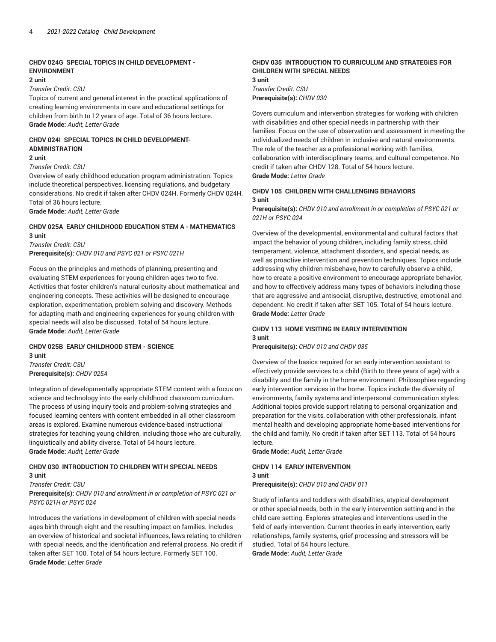## **CHDV 024G SPECIAL TOPICS IN CHILD DEVELOPMENT - ENVIRONMENT**

#### **2 unit**

*Transfer Credit: CSU*

Topics of current and general interest in the practical applications of creating learning environments in care and educational settings for children from birth to 12 years of age. Total of 36 hours lecture. **Grade Mode:** *Audit, Letter Grade*

## **CHDV 024I SPECIAL TOPICS IN CHILD DEVELOPMENT-ADMINISTRATION**

## **2 unit**

#### *Transfer Credit: CSU*

Overview of early childhood education program administration. Topics include theoretical perspectives, licensing regulations, and budgetary considerations. No credit if taken after CHDV 024H. Formerly CHDV 024H. Total of 36 hours lecture.

**Grade Mode:** *Audit, Letter Grade*

## **CHDV 025A EARLY CHILDHOOD EDUCATION STEM A - MATHEMATICS 3 unit**

*Transfer Credit: CSU*

**Prerequisite(s):** *CHDV 010 and PSYC 021 or PSYC 021H*

Focus on the principles and methods of planning, presenting and evaluating STEM experiences for young children ages two to five. Activities that foster children's natural curiosity about mathematical and engineering concepts. These activities will be designed to encourage exploration, experimentation, problem solving and discovery. Methods for adapting math and engineering experiences for young children with special needs will also be discussed. Total of 54 hours lecture. **Grade Mode:** *Audit, Letter Grade*

# **CHDV 025B EARLY CHILDHOOD STEM - SCIENCE**

**3 unit** *Transfer Credit: CSU* **Prerequisite(s):** *CHDV 025A*

Integration of developmentally appropriate STEM content with a focus on science and technology into the early childhood classroom curriculum. The process of using inquiry tools and problem-solving strategies and focused learning centers with content embedded in all other classroom areas is explored. Examine numerous evidence-based instructional strategies for teaching young children, including those who are culturally, linguistically and ability diverse. Total of 54 hours lecture. **Grade Mode:** *Audit, Letter Grade*

## **CHDV 030 INTRODUCTION TO CHILDREN WITH SPECIAL NEEDS 3 unit**

#### *Transfer Credit: CSU*

**Prerequisite(s):** *CHDV 010 and enrollment in or completion of PSYC 021 or PSYC 021H or PSYC 024*

Introduces the variations in development of children with special needs ages birth through eight and the resulting impact on families. Includes an overview of historical and societal influences, laws relating to children with special needs, and the identification and referral process. No credit if taken after SET 100. Total of 54 hours lecture. Formerly SET 100. **Grade Mode:** *Letter Grade*

## **CHDV 035 INTRODUCTION TO CURRICULUM AND STRATEGIES FOR CHILDREN WITH SPECIAL NEEDS**

**3 unit** *Transfer Credit: CSU* **Prerequisite(s):** *CHDV 030*

Covers curriculum and intervention strategies for working with children with disabilities and other special needs in partnership with their families. Focus on the use of observation and assessment in meeting the individualized needs of children in inclusive and natural environments. The role of the teacher as a professional working with families, collaboration with interdisciplinary teams, and cultural competence. No credit if taken after CHDV 128. Total of 54 hours lecture. **Grade Mode:** *Letter Grade*

#### **CHDV 105 CHILDREN WITH CHALLENGING BEHAVIORS 3 unit**

**Prerequisite(s):** *CHDV 010 and enrollment in or completion of PSYC 021 or 021H or PSYC 024*

Overview of the developmental, environmental and cultural factors that impact the behavior of young children, including family stress, child temperament, violence, attachment disorders, and special needs, as well as proactive intervention and prevention techniques. Topics include addressing why children misbehave, how to carefully observe a child, how to create a positive environment to encourage appropriate behavior, and how to effectively address many types of behaviors including those that are aggressive and antisocial, disruptive, destructive, emotional and dependent. No credit if taken after SET 105. Total of 54 hours lecture. **Grade Mode:** *Letter Grade*

## **CHDV 113 HOME VISITING IN EARLY INTERVENTION 3 unit**

**Prerequisite(s):** *CHDV 010 and CHDV 035*

Overview of the basics required for an early intervention assistant to effectively provide services to a child (Birth to three years of age) with a disability and the family in the home environment. Philosophies regarding early intervention services in the home. Topics include the diversity of environments, family systems and interpersonal communication styles. Additional topics provide support relating to personal organization and preparation for the visits, collaboration with other professionals, infant mental health and developing appropriate home-based interventions for the child and family. No credit if taken after SET 113. Total of 54 hours lecture.

**Grade Mode:** *Audit, Letter Grade*

## **CHDV 114 EARLY INTERVENTION 3 unit Prerequisite(s):** *CHDV 010 and CHDV 011*

Study of infants and toddlers with disabilities, atypical development or other special needs, both in the early intervention setting and in the child care setting. Explores strategies and interventions used in the field of early intervention. Current theories in early intervention, early relationships, family systems, grief processing and stressors will be studied. Total of 54 hours lecture.

**Grade Mode:** *Audit, Letter Grade*